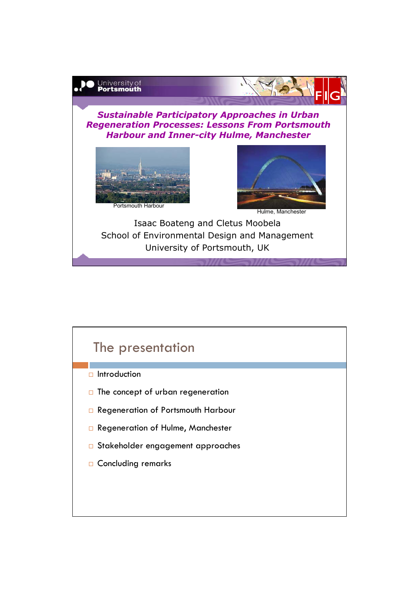

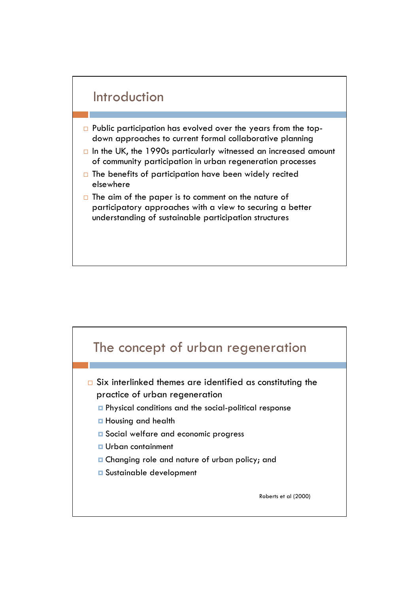

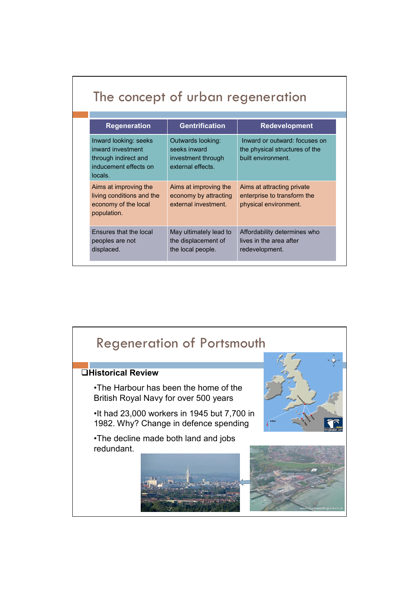| <b>Regeneration</b>                                                                                    | <b>Gentrification</b>                                                        | <b>Redevelopment</b>                                                                  |
|--------------------------------------------------------------------------------------------------------|------------------------------------------------------------------------------|---------------------------------------------------------------------------------------|
| Inward looking: seeks<br>inward investment<br>through indirect and<br>inducement effects on<br>locals. | Outwards looking:<br>seeks inward<br>investment through<br>external effects. | Inward or outward: focuses on<br>the physical structures of the<br>built environment. |
| Aims at improving the<br>living conditions and the<br>economy of the local<br>population.              | Aims at improving the<br>economy by attracting<br>external investment.       | Aims at attracting private<br>enterprise to transform the<br>physical environment.    |
| Ensures that the local<br>peoples are not<br>displaced.                                                | May ultimately lead to<br>the displacement of<br>the local people.           | Affordability determines who<br>lives in the area after<br>redevelopment.             |

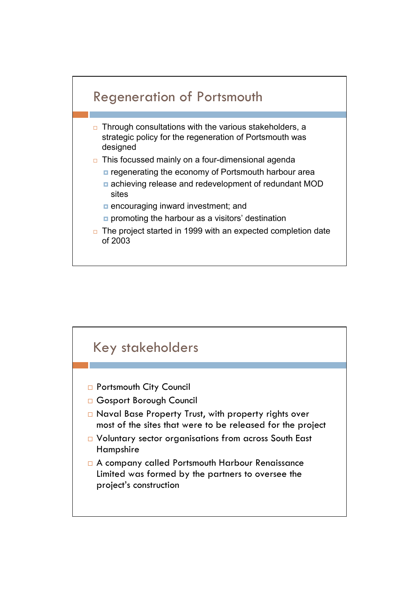

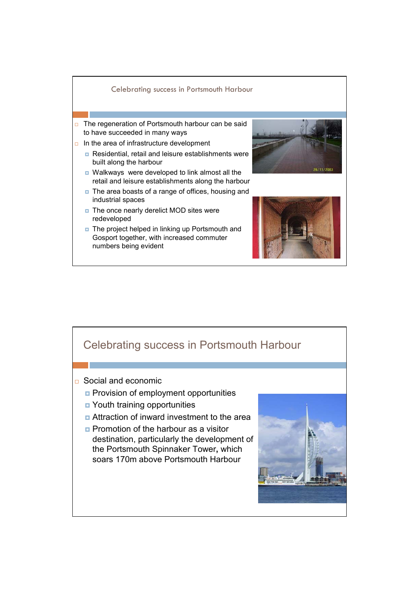

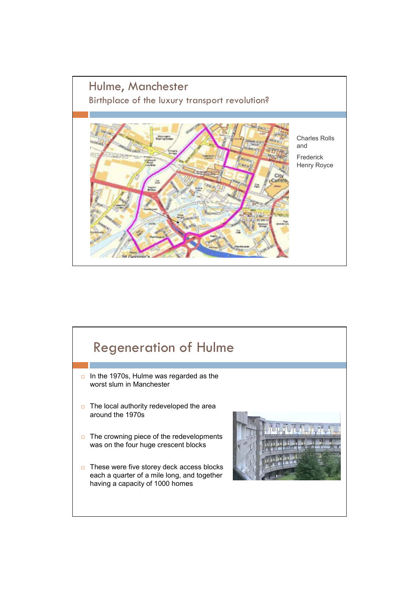

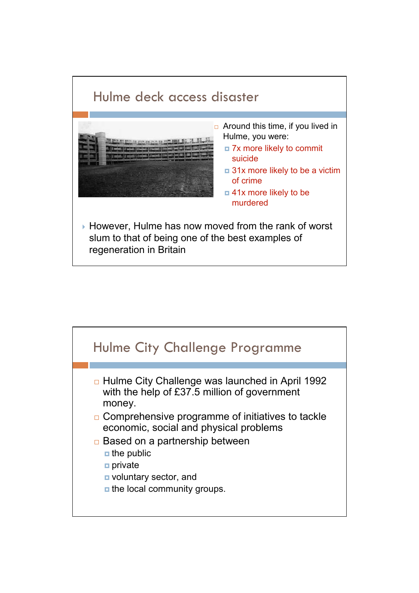

![](_page_6_Figure_1.jpeg)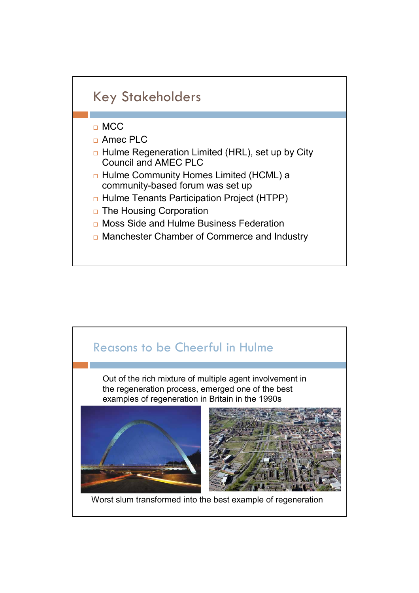![](_page_7_Figure_0.jpeg)

![](_page_7_Picture_1.jpeg)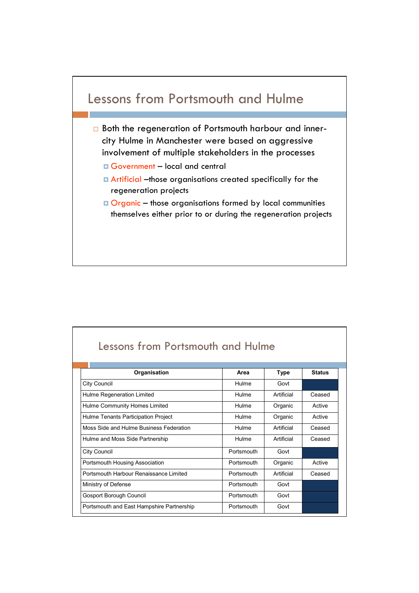![](_page_8_Figure_0.jpeg)

| Lessons from Portsmouth and Hulme         |            |            |               |  |  |
|-------------------------------------------|------------|------------|---------------|--|--|
|                                           |            |            |               |  |  |
| Organisation                              | Area       | Type       | <b>Status</b> |  |  |
| City Council                              | Hulme      | Govt       |               |  |  |
| Hulme Regeneration Limited                | Hulme      | Artificial | Ceased        |  |  |
| Hulme Community Homes Limited             | Hulme      | Organic    | Active        |  |  |
| Hulme Tenants Participation Project       | Hulme      | Organic    | Active        |  |  |
| Moss Side and Hulme Business Federation   | Hulme      | Artificial | Ceased        |  |  |
| Hulme and Moss Side Partnership           | Hulme      | Artificial | Ceased        |  |  |
| City Council                              | Portsmouth | Govt       |               |  |  |
| Portsmouth Housing Association            | Portsmouth | Organic    | Active        |  |  |
| Portsmouth Harbour Renaissance Limited    | Portsmouth | Artificial | Ceased        |  |  |
| Ministry of Defense                       | Portsmouth | Govt       |               |  |  |
| Gosport Borough Council                   | Portsmouth | Govt       |               |  |  |
| Portsmouth and East Hampshire Partnership | Portsmouth | Govt       |               |  |  |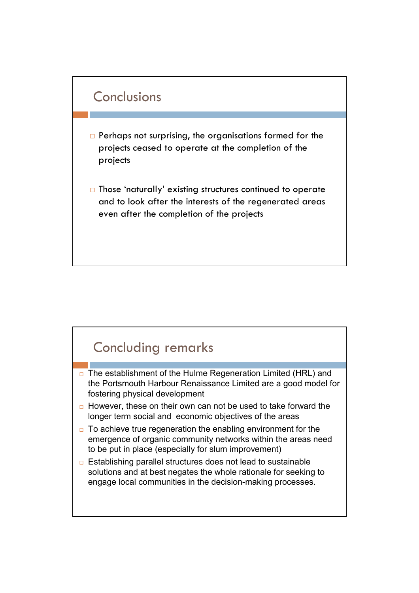![](_page_9_Figure_0.jpeg)

- **Perhaps not surprising, the organisations formed for the** projects ceased to operate at the completion of the projects
- □ Those 'naturally' existing structures continued to operate and to look after the interests of the regenerated areas even after the completion of the projects

## Concluding remarks

- $\Box$  The establishment of the Hulme Regeneration Limited (HRL) and the Portsmouth Harbour Renaissance Limited are a good model for fostering physical development
- $\Box$  However, these on their own can not be used to take forward the longer term social and economic objectives of the areas
- $\Box$  To achieve true regeneration the enabling environment for the emergence of organic community networks within the areas need to be put in place (especially for slum improvement)
- □ Establishing parallel structures does not lead to sustainable solutions and at best negates the whole rationale for seeking to engage local communities in the decision-making processes.